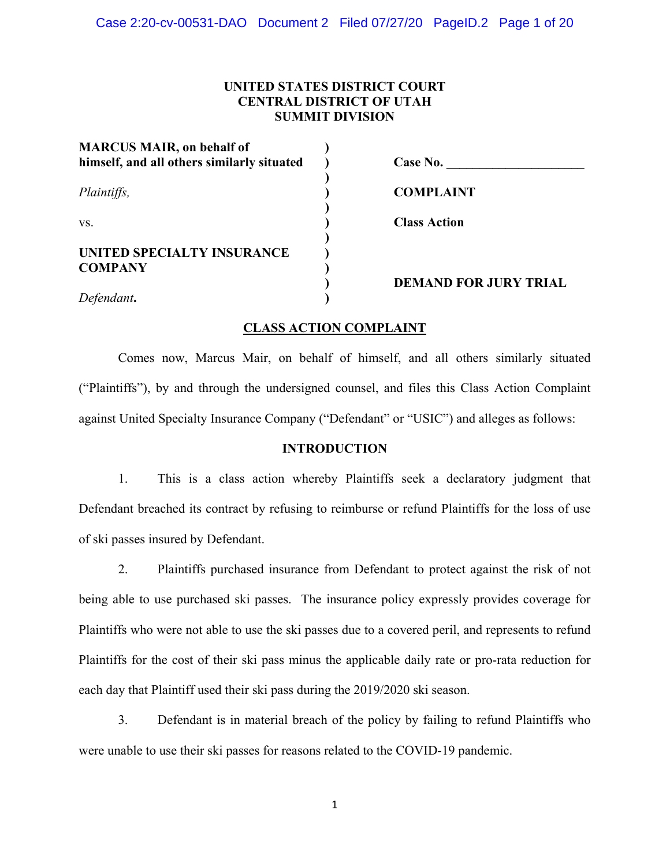# **UNITED STATES DISTRICT COURT CENTRAL DISTRICT OF UTAH SUMMIT DIVISION**

| <b>MARCUS MAIR, on behalf of</b><br>himself, and all others similarly situated | Case No.                     |
|--------------------------------------------------------------------------------|------------------------------|
| Plaintiffs,                                                                    | <b>COMPLAINT</b>             |
| VS.                                                                            | <b>Class Action</b>          |
| UNITED SPECIALTY INSURANCE<br><b>COMPANY</b>                                   |                              |
| Defendant.                                                                     | <b>DEMAND FOR JURY TRIAL</b> |

# **CLASS ACTION COMPLAINT**

 Comes now, Marcus Mair, on behalf of himself, and all others similarly situated ("Plaintiffs"), by and through the undersigned counsel, and files this Class Action Complaint against United Specialty Insurance Company ("Defendant" or "USIC") and alleges as follows:

# **INTRODUCTION**

1. This is a class action whereby Plaintiffs seek a declaratory judgment that Defendant breached its contract by refusing to reimburse or refund Plaintiffs for the loss of use of ski passes insured by Defendant.

2. Plaintiffs purchased insurance from Defendant to protect against the risk of not being able to use purchased ski passes. The insurance policy expressly provides coverage for Plaintiffs who were not able to use the ski passes due to a covered peril, and represents to refund Plaintiffs for the cost of their ski pass minus the applicable daily rate or pro-rata reduction for each day that Plaintiff used their ski pass during the 2019/2020 ski season.

3. Defendant is in material breach of the policy by failing to refund Plaintiffs who were unable to use their ski passes for reasons related to the COVID-19 pandemic.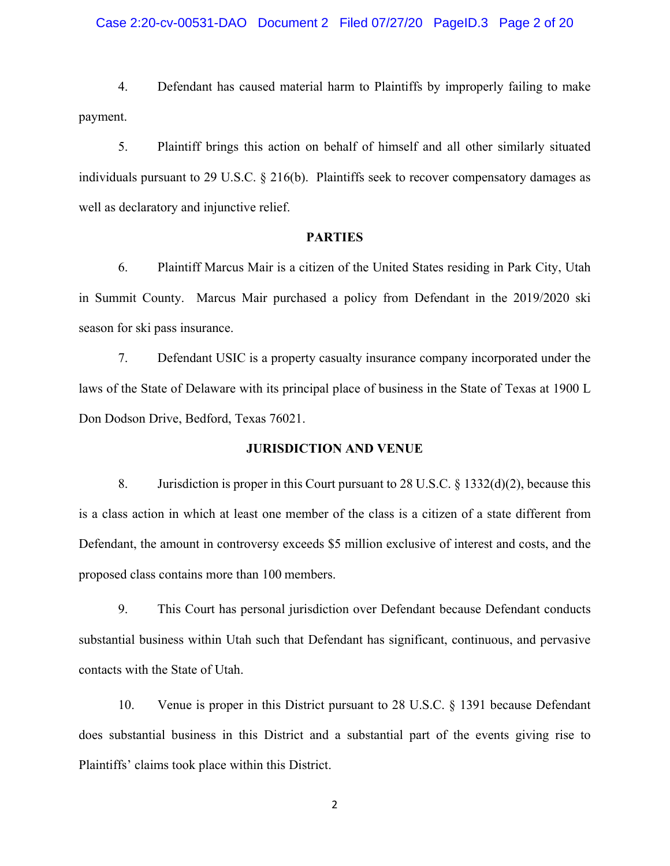## Case 2:20-cv-00531-DAO Document 2 Filed 07/27/20 PageID.3 Page 2 of 20

4. Defendant has caused material harm to Plaintiffs by improperly failing to make payment.

5. Plaintiff brings this action on behalf of himself and all other similarly situated individuals pursuant to 29 U.S.C. § 216(b). Plaintiffs seek to recover compensatory damages as well as declaratory and injunctive relief.

### **PARTIES**

6. Plaintiff Marcus Mair is a citizen of the United States residing in Park City, Utah in Summit County. Marcus Mair purchased a policy from Defendant in the 2019/2020 ski season for ski pass insurance.

7. Defendant USIC is a property casualty insurance company incorporated under the laws of the State of Delaware with its principal place of business in the State of Texas at 1900 L Don Dodson Drive, Bedford, Texas 76021.

### **JURISDICTION AND VENUE**

8. Jurisdiction is proper in this Court pursuant to 28 U.S.C. § 1332(d)(2), because this is a class action in which at least one member of the class is a citizen of a state different from Defendant, the amount in controversy exceeds \$5 million exclusive of interest and costs, and the proposed class contains more than 100 members.

 9. This Court has personal jurisdiction over Defendant because Defendant conducts substantial business within Utah such that Defendant has significant, continuous, and pervasive contacts with the State of Utah.

 10. Venue is proper in this District pursuant to 28 U.S.C. § 1391 because Defendant does substantial business in this District and a substantial part of the events giving rise to Plaintiffs' claims took place within this District.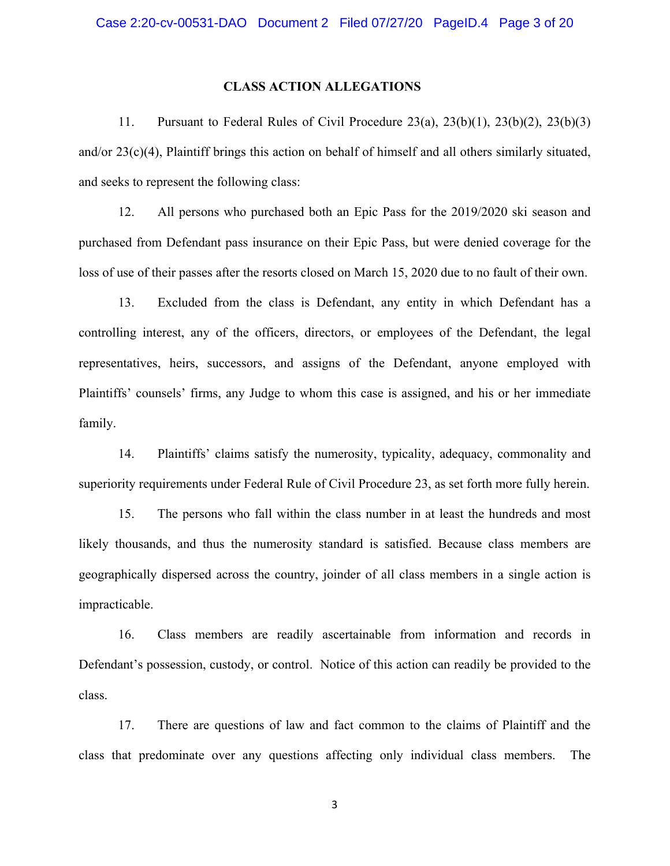## **CLASS ACTION ALLEGATIONS**

 11. Pursuant to Federal Rules of Civil Procedure 23(a), 23(b)(1), 23(b)(2), 23(b)(3) and/or 23(c)(4), Plaintiff brings this action on behalf of himself and all others similarly situated, and seeks to represent the following class:

12. All persons who purchased both an Epic Pass for the 2019/2020 ski season and purchased from Defendant pass insurance on their Epic Pass, but were denied coverage for the loss of use of their passes after the resorts closed on March 15, 2020 due to no fault of their own.

13. Excluded from the class is Defendant, any entity in which Defendant has a controlling interest, any of the officers, directors, or employees of the Defendant, the legal representatives, heirs, successors, and assigns of the Defendant, anyone employed with Plaintiffs' counsels' firms, any Judge to whom this case is assigned, and his or her immediate family.

14. Plaintiffs' claims satisfy the numerosity, typicality, adequacy, commonality and superiority requirements under Federal Rule of Civil Procedure 23, as set forth more fully herein.

15. The persons who fall within the class number in at least the hundreds and most likely thousands, and thus the numerosity standard is satisfied. Because class members are geographically dispersed across the country, joinder of all class members in a single action is impracticable.

16. Class members are readily ascertainable from information and records in Defendant's possession, custody, or control. Notice of this action can readily be provided to the class.

 17. There are questions of law and fact common to the claims of Plaintiff and the class that predominate over any questions affecting only individual class members. The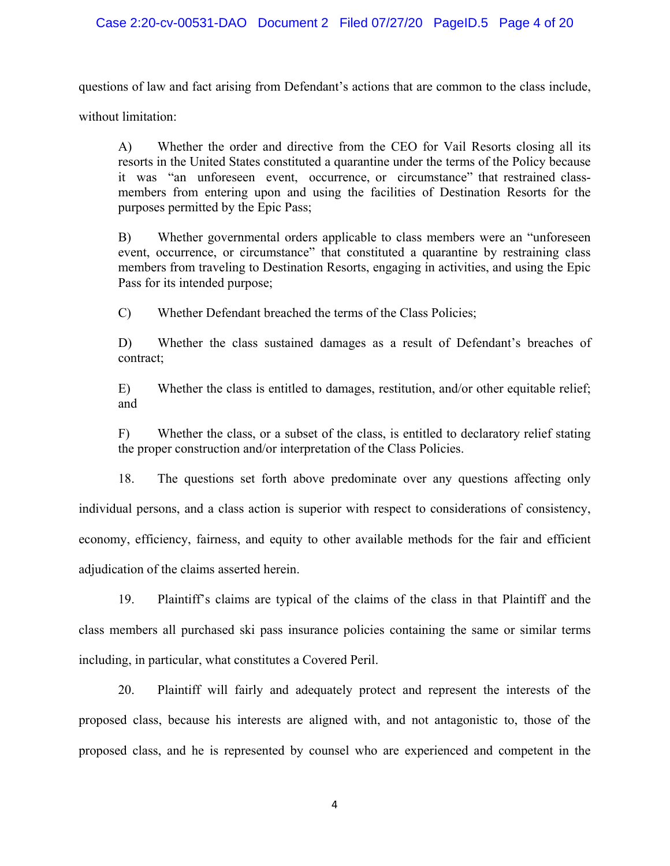# Case 2:20-cv-00531-DAO Document 2 Filed 07/27/20 PageID.5 Page 4 of 20

questions of law and fact arising from Defendant's actions that are common to the class include,

without limitation:

 A) Whether the order and directive from the CEO for Vail Resorts closing all its resorts in the United States constituted a quarantine under the terms of the Policy because it was "an unforeseen event, occurrence, or circumstance" that restrained classmembers from entering upon and using the facilities of Destination Resorts for the purposes permitted by the Epic Pass;

 B) Whether governmental orders applicable to class members were an "unforeseen event, occurrence, or circumstance" that constituted a quarantine by restraining class members from traveling to Destination Resorts, engaging in activities, and using the Epic Pass for its intended purpose;

C) Whether Defendant breached the terms of the Class Policies;

 D) Whether the class sustained damages as a result of Defendant's breaches of contract;

 E) Whether the class is entitled to damages, restitution, and/or other equitable relief; and

 F) Whether the class, or a subset of the class, is entitled to declaratory relief stating the proper construction and/or interpretation of the Class Policies.

 18. The questions set forth above predominate over any questions affecting only individual persons, and a class action is superior with respect to considerations of consistency, economy, efficiency, fairness, and equity to other available methods for the fair and efficient adjudication of the claims asserted herein.

 19. Plaintiff's claims are typical of the claims of the class in that Plaintiff and the class members all purchased ski pass insurance policies containing the same or similar terms including, in particular, what constitutes a Covered Peril.

 20. Plaintiff will fairly and adequately protect and represent the interests of the proposed class, because his interests are aligned with, and not antagonistic to, those of the proposed class, and he is represented by counsel who are experienced and competent in the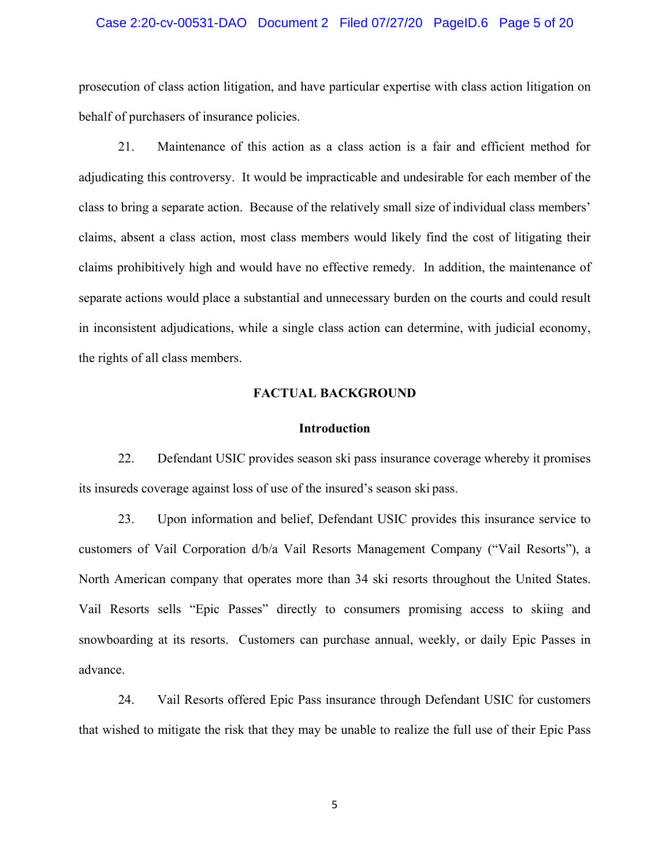## Case 2:20-cv-00531-DAO Document 2 Filed 07/27/20 PageID.6 Page 5 of 20

prosecution of class action litigation, and have particular expertise with class action litigation on behalf of purchasers of insurance policies.

 21. Maintenance of this action as a class action is a fair and efficient method for adjudicating this controversy. It would be impracticable and undesirable for each member of the class to bring a separate action. Because of the relatively small size of individual class members' claims, absent a class action, most class members would likely find the cost of litigating their claims prohibitively high and would have no effective remedy. In addition, the maintenance of separate actions would place a substantial and unnecessary burden on the courts and could result in inconsistent adjudications, while a single class action can determine, with judicial economy, the rights of all class members.

## **FACTUAL BACKGROUND**

## **Introduction**

 22. Defendant USIC provides season ski pass insurance coverage whereby it promises its insureds coverage against loss of use of the insured's season ski pass.

 23. Upon information and belief, Defendant USIC provides this insurance service to customers of Vail Corporation d/b/a Vail Resorts Management Company ("Vail Resorts"), a North American company that operates more than 34 ski resorts throughout the United States. Vail Resorts sells "Epic Passes" directly to consumers promising access to skiing and snowboarding at its resorts. Customers can purchase annual, weekly, or daily Epic Passes in advance.

 24. Vail Resorts offered Epic Pass insurance through Defendant USIC for customers that wished to mitigate the risk that they may be unable to realize the full use of their Epic Pass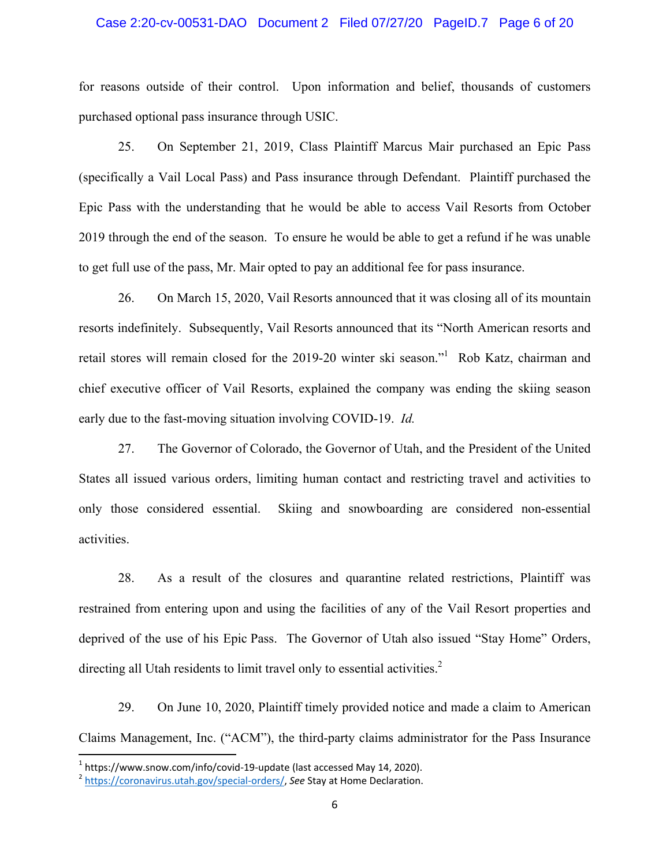## Case 2:20-cv-00531-DAO Document 2 Filed 07/27/20 PageID.7 Page 6 of 20

for reasons outside of their control. Upon information and belief, thousands of customers purchased optional pass insurance through USIC.

 25. On September 21, 2019, Class Plaintiff Marcus Mair purchased an Epic Pass (specifically a Vail Local Pass) and Pass insurance through Defendant. Plaintiff purchased the Epic Pass with the understanding that he would be able to access Vail Resorts from October 2019 through the end of the season. To ensure he would be able to get a refund if he was unable to get full use of the pass, Mr. Mair opted to pay an additional fee for pass insurance.

 26. On March 15, 2020, Vail Resorts announced that it was closing all of its mountain resorts indefinitely. Subsequently, Vail Resorts announced that its "North American resorts and retail stores will remain closed for the 2019-20 winter ski season."<sup>1</sup> Rob Katz, chairman and chief executive officer of Vail Resorts, explained the company was ending the skiing season early due to the fast-moving situation involving COVID-19. *Id.* 

27. The Governor of Colorado, the Governor of Utah, and the President of the United States all issued various orders, limiting human contact and restricting travel and activities to only those considered essential. Skiing and snowboarding are considered non-essential activities.

28. As a result of the closures and quarantine related restrictions, Plaintiff was restrained from entering upon and using the facilities of any of the Vail Resort properties and deprived of the use of his Epic Pass. The Governor of Utah also issued "Stay Home" Orders, directing all Utah residents to limit travel only to essential activities. $2$ 

 29. On June 10, 2020, Plaintiff timely provided notice and made a claim to American Claims Management, Inc. ("ACM"), the third-party claims administrator for the Pass Insurance

<sup>&</sup>lt;sup>1</sup> https://www.snow.com/info/covid-19-update (last accessed May 14, 2020).<br><sup>2</sup> https://coronavirus.utah.gov/special-orders/, *See* Stay at Home Declaration.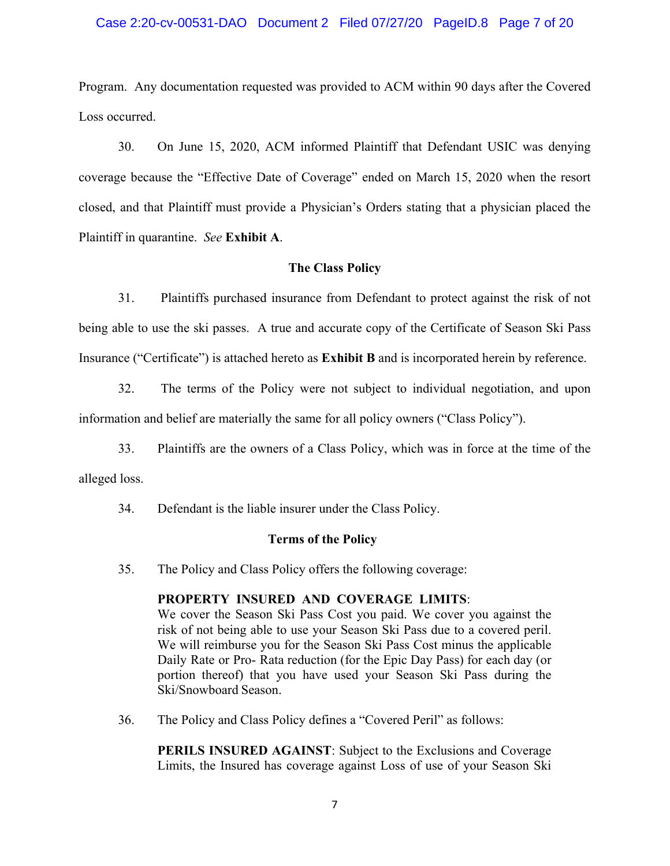## Case 2:20-cv-00531-DAO Document 2 Filed 07/27/20 PageID.8 Page 7 of 20

Program. Any documentation requested was provided to ACM within 90 days after the Covered Loss occurred.

 30. On June 15, 2020, ACM informed Plaintiff that Defendant USIC was denying coverage because the "Effective Date of Coverage" ended on March 15, 2020 when the resort closed, and that Plaintiff must provide a Physician's Orders stating that a physician placed the Plaintiff in quarantine. *See* **Exhibit A**.

## **The Class Policy**

 31. Plaintiffs purchased insurance from Defendant to protect against the risk of not being able to use the ski passes. A true and accurate copy of the Certificate of Season Ski Pass Insurance ("Certificate") is attached hereto as **Exhibit B** and is incorporated herein by reference.

 32. The terms of the Policy were not subject to individual negotiation, and upon information and belief are materially the same for all policy owners ("Class Policy").

 33. Plaintiffs are the owners of a Class Policy, which was in force at the time of the alleged loss.

34. Defendant is the liable insurer under the Class Policy.

## **Terms of the Policy**

35. The Policy and Class Policy offers the following coverage:

## **PROPERTY INSURED AND COVERAGE LIMITS**:

We cover the Season Ski Pass Cost you paid. We cover you against the risk of not being able to use your Season Ski Pass due to a covered peril. We will reimburse you for the Season Ski Pass Cost minus the applicable Daily Rate or Pro- Rata reduction (for the Epic Day Pass) for each day (or portion thereof) that you have used your Season Ski Pass during the Ski/Snowboard Season.

36. The Policy and Class Policy defines a "Covered Peril" as follows:

**PERILS INSURED AGAINST**: Subject to the Exclusions and Coverage Limits, the Insured has coverage against Loss of use of your Season Ski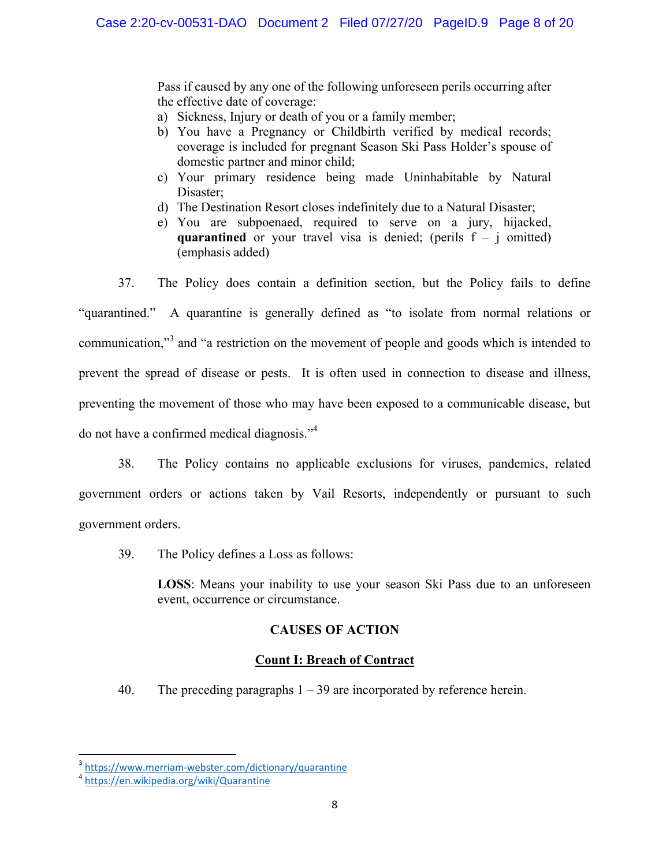Pass if caused by any one of the following unforeseen perils occurring after the effective date of coverage:

- a) Sickness, Injury or death of you or a family member;
- b) You have a Pregnancy or Childbirth verified by medical records; coverage is included for pregnant Season Ski Pass Holder's spouse of domestic partner and minor child;
- c) Your primary residence being made Uninhabitable by Natural Disaster;
- d) The Destination Resort closes indefinitely due to a Natural Disaster;
- e) You are subpoenaed, required to serve on a jury, hijacked, **quarantined** or your travel visa is denied; (perils  $f - j$  omitted) (emphasis added)

37. The Policy does contain a definition section, but the Policy fails to define "quarantined." A quarantine is generally defined as "to isolate from normal relations or communication,"<sup>3</sup> and "a restriction on the movement of people and goods which is intended to prevent the spread of disease or pests. It is often used in connection to disease and illness, preventing the movement of those who may have been exposed to a communicable disease, but do not have a confirmed medical diagnosis."<sup>4</sup>

38. The Policy contains no applicable exclusions for viruses, pandemics, related government orders or actions taken by Vail Resorts, independently or pursuant to such government orders.

39. The Policy defines a Loss as follows:

**LOSS**: Means your inability to use your season Ski Pass due to an unforeseen event, occurrence or circumstance.

# **CAUSES OF ACTION**

# **Count I: Breach of Contract**

40. The preceding paragraphs 1 – 39 are incorporated by reference herein.

<sup>&</sup>lt;sup>3</sup> https://www.merriam-webster.com/dictionary/quarantine<br><sup>4</sup> https://en.wikipedia.org/wiki/Quarantine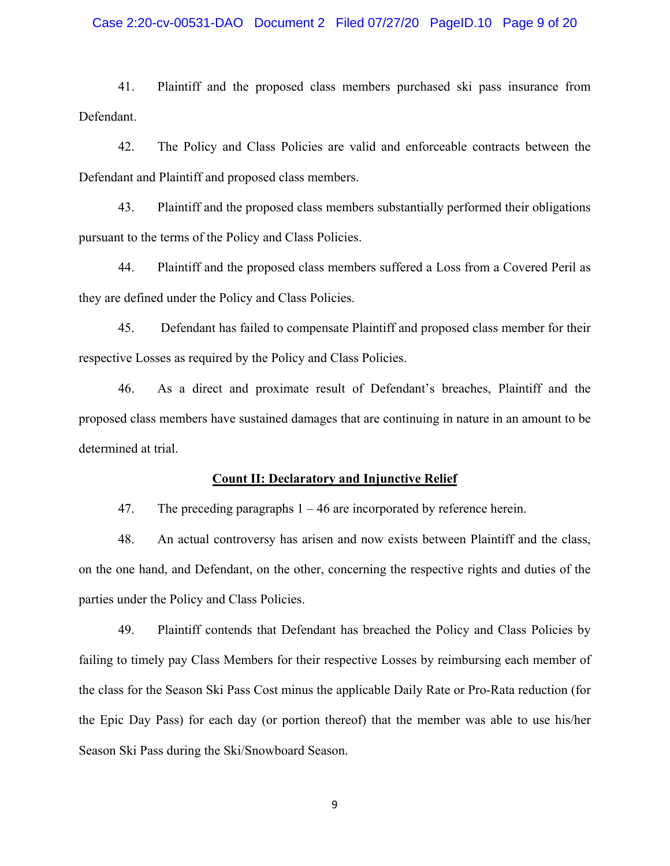## Case 2:20-cv-00531-DAO Document 2 Filed 07/27/20 PageID.10 Page 9 of 20

 41. Plaintiff and the proposed class members purchased ski pass insurance from Defendant.

 42. The Policy and Class Policies are valid and enforceable contracts between the Defendant and Plaintiff and proposed class members.

 43. Plaintiff and the proposed class members substantially performed their obligations pursuant to the terms of the Policy and Class Policies.

 44. Plaintiff and the proposed class members suffered a Loss from a Covered Peril as they are defined under the Policy and Class Policies.

 45. Defendant has failed to compensate Plaintiff and proposed class member for their respective Losses as required by the Policy and Class Policies.

46. As a direct and proximate result of Defendant's breaches, Plaintiff and the proposed class members have sustained damages that are continuing in nature in an amount to be determined at trial.

#### **Count II: Declaratory and Injunctive Relief**

47. The preceding paragraphs 1 – 46 are incorporated by reference herein.

 48. An actual controversy has arisen and now exists between Plaintiff and the class, on the one hand, and Defendant, on the other, concerning the respective rights and duties of the parties under the Policy and Class Policies.

49. Plaintiff contends that Defendant has breached the Policy and Class Policies by failing to timely pay Class Members for their respective Losses by reimbursing each member of the class for the Season Ski Pass Cost minus the applicable Daily Rate or Pro-Rata reduction (for the Epic Day Pass) for each day (or portion thereof) that the member was able to use his/her Season Ski Pass during the Ski/Snowboard Season.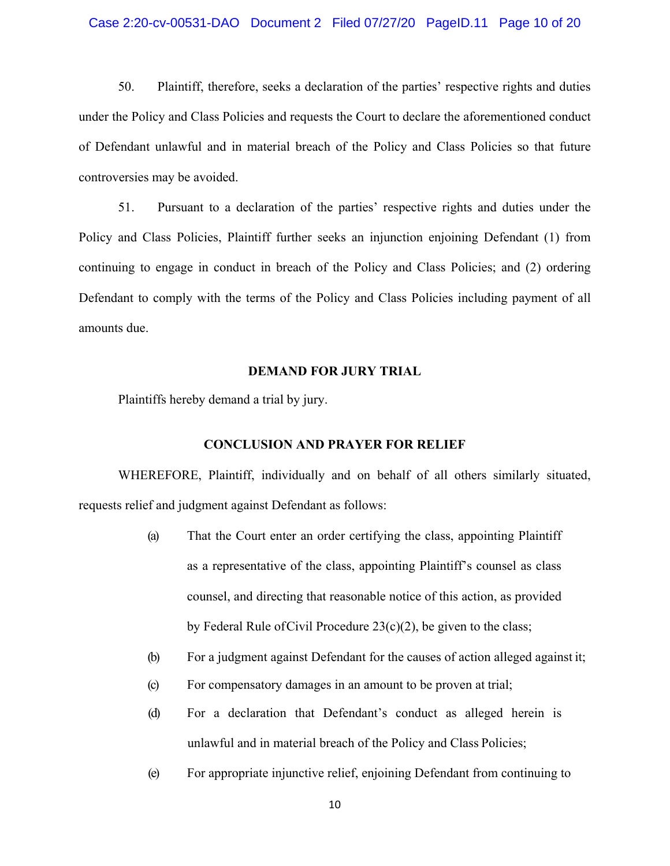## Case 2:20-cv-00531-DAO Document 2 Filed 07/27/20 PageID.11 Page 10 of 20

50. Plaintiff, therefore, seeks a declaration of the parties' respective rights and duties under the Policy and Class Policies and requests the Court to declare the aforementioned conduct of Defendant unlawful and in material breach of the Policy and Class Policies so that future controversies may be avoided.

51. Pursuant to a declaration of the parties' respective rights and duties under the Policy and Class Policies, Plaintiff further seeks an injunction enjoining Defendant (1) from continuing to engage in conduct in breach of the Policy and Class Policies; and (2) ordering Defendant to comply with the terms of the Policy and Class Policies including payment of all amounts due.

#### **DEMAND FOR JURY TRIAL**

Plaintiffs hereby demand a trial by jury.

# **CONCLUSION AND PRAYER FOR RELIEF**

 WHEREFORE, Plaintiff, individually and on behalf of all others similarly situated, requests relief and judgment against Defendant as follows:

- (a) That the Court enter an order certifying the class, appointing Plaintiff as a representative of the class, appointing Plaintiff's counsel as class counsel, and directing that reasonable notice of this action, as provided by Federal Rule of Civil Procedure  $23(c)(2)$ , be given to the class;
- (b) For a judgment against Defendant for the causes of action alleged against it;
- (c) For compensatory damages in an amount to be proven at trial;
- (d) For a declaration that Defendant's conduct as alleged herein is unlawful and in material breach of the Policy and Class Policies;
- (e) For appropriate injunctive relief, enjoining Defendant from continuing to